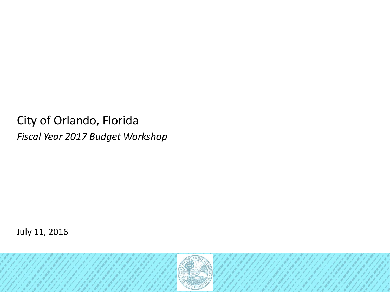City of Orlando, Florida *Fiscal Year 2017 Budget Workshop*

July 11, 2016

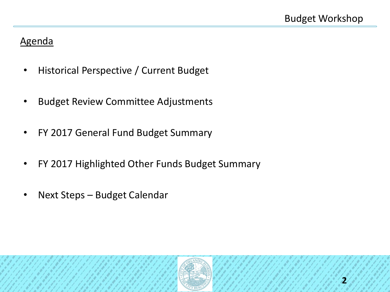# Agenda

- Historical Perspective / Current Budget
- Budget Review Committee Adjustments
- FY 2017 General Fund Budget Summary
- FY 2017 Highlighted Other Funds Budget Summary
- Next Steps Budget Calendar

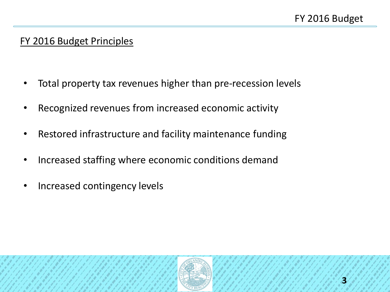# FY 2016 Budget Principles

- Total property tax revenues higher than pre-recession levels
- Recognized revenues from increased economic activity
- Restored infrastructure and facility maintenance funding
- Increased staffing where economic conditions demand
- Increased contingency levels

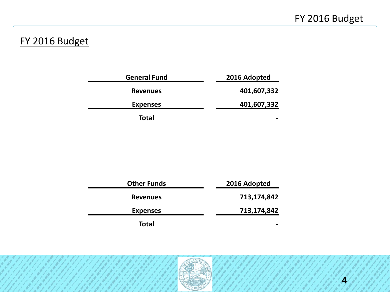# FY 2016 Budget

| <b>General Fund</b> | 2016 Adopted |
|---------------------|--------------|
| <b>Revenues</b>     | 401,607,332  |
| <b>Expenses</b>     | 401,607,332  |
| Total               |              |

| <b>Other Funds</b> | 2016 Adopted |
|--------------------|--------------|
| <b>Revenues</b>    | 713,174,842  |
| <b>Expenses</b>    | 713,174,842  |
| <b>Total</b>       |              |

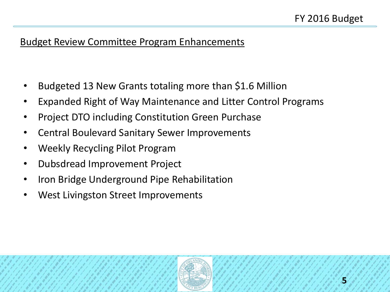# Budget Review Committee Program Enhancements

- Budgeted 13 New Grants totaling more than \$1.6 Million
- Expanded Right of Way Maintenance and Litter Control Programs
- Project DTO including Constitution Green Purchase
- Central Boulevard Sanitary Sewer Improvements
- Weekly Recycling Pilot Program
- Dubsdread Improvement Project
- Iron Bridge Underground Pipe Rehabilitation
- West Livingston Street Improvements

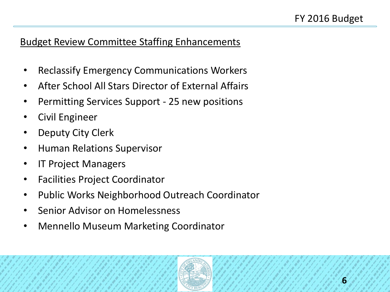# Budget Review Committee Staffing Enhancements

- Reclassify Emergency Communications Workers
- After School All Stars Director of External Affairs
- Permitting Services Support 25 new positions
- Civil Engineer
- Deputy City Clerk
- Human Relations Supervisor
- IT Project Managers
- Facilities Project Coordinator
- Public Works Neighborhood Outreach Coordinator
- Senior Advisor on Homelessness
- Mennello Museum Marketing Coordinator

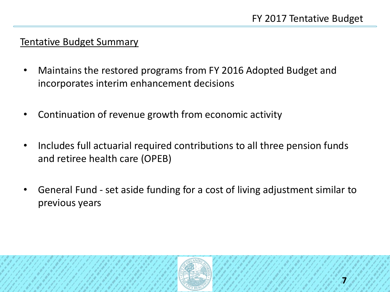#### Tentative Budget Summary

- Maintains the restored programs from FY 2016 Adopted Budget and incorporates interim enhancement decisions
- Continuation of revenue growth from economic activity
- Includes full actuarial required contributions to all three pension funds and retiree health care (OPEB)
- General Fund set aside funding for a cost of living adjustment similar to previous years

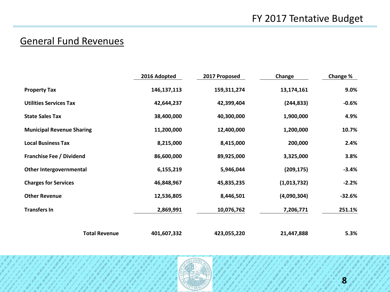# General Fund Revenues

|                                  | 2016 Adopted  | 2017 Proposed | Change      | Change % |
|----------------------------------|---------------|---------------|-------------|----------|
| <b>Property Tax</b>              | 146, 137, 113 | 159,311,274   | 13,174,161  | 9.0%     |
| <b>Utilities Services Tax</b>    | 42,644,237    | 42,399,404    | (244, 833)  | $-0.6%$  |
| <b>State Sales Tax</b>           | 38,400,000    | 40,300,000    | 1,900,000   | 4.9%     |
| <b>Municipal Revenue Sharing</b> | 11,200,000    | 12,400,000    | 1,200,000   | 10.7%    |
| <b>Local Business Tax</b>        | 8,215,000     | 8,415,000     | 200,000     | 2.4%     |
| <b>Franchise Fee / Dividend</b>  | 86,600,000    | 89,925,000    | 3,325,000   | 3.8%     |
| Other Intergovernmental          | 6,155,219     | 5,946,044     | (209, 175)  | $-3.4%$  |
| <b>Charges for Services</b>      | 46,848,967    | 45,835,235    | (1,013,732) | $-2.2%$  |
| <b>Other Revenue</b>             | 12,536,805    | 8,446,501     | (4,090,304) | $-32.6%$ |
| <b>Transfers In</b>              | 2,869,991     | 10,076,762    | 7,206,771   | 251.1%   |
|                                  |               |               |             |          |
| <b>Total Revenue</b>             | 401,607,332   | 423,055,220   | 21,447,888  | 5.3%     |

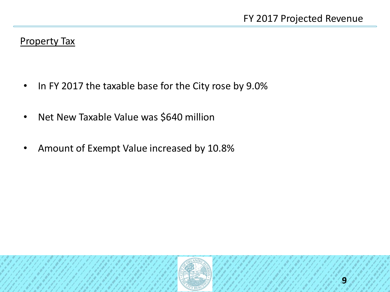#### Property Tax

- In FY 2017 the taxable base for the City rose by 9.0%
- Net New Taxable Value was \$640 million
- Amount of Exempt Value increased by 10.8%

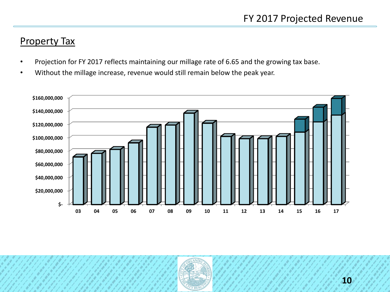# Property Tax

- Projection for FY 2017 reflects maintaining our millage rate of 6.65 and the growing tax base.
- Without the millage increase, revenue would still remain below the peak year.



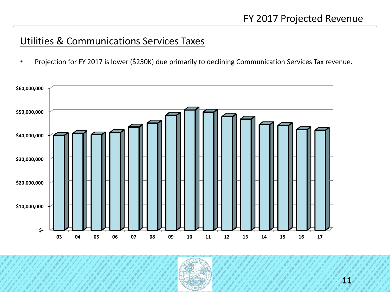# Utilities & Communications Services Taxes

• Projection for FY 2017 is lower (\$250K) due primarily to declining Communication Services Tax revenue.



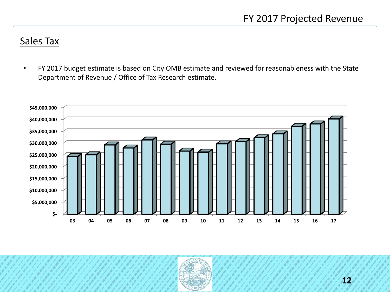#### Sales Tax

• FY 2017 budget estimate is based on City OMB estimate and reviewed for reasonableness with the State Department of Revenue / Office of Tax Research estimate.



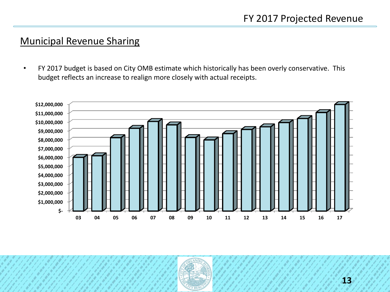#### Municipal Revenue Sharing

• FY 2017 budget is based on City OMB estimate which historically has been overly conservative. This budget reflects an increase to realign more closely with actual receipts.



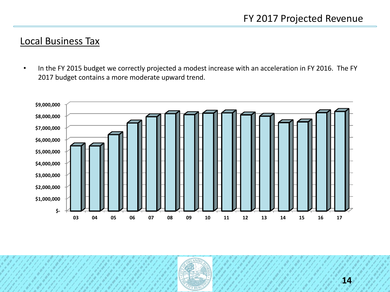#### Local Business Tax

• In the FY 2015 budget we correctly projected a modest increase with an acceleration in FY 2016. The FY 2017 budget contains a more moderate upward trend.



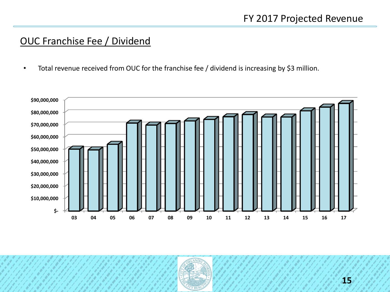# OUC Franchise Fee / Dividend

• Total revenue received from OUC for the franchise fee / dividend is increasing by \$3 million.



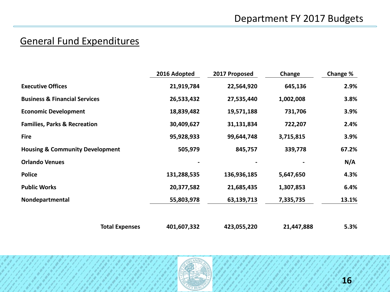# General Fund Expenditures

|                                            | 2016 Adopted | 2017 Proposed | Change     | Change % |
|--------------------------------------------|--------------|---------------|------------|----------|
| <b>Executive Offices</b>                   | 21,919,784   | 22,564,920    | 645,136    | 2.9%     |
| <b>Business &amp; Financial Services</b>   | 26,533,432   | 27,535,440    | 1,002,008  | 3.8%     |
| <b>Economic Development</b>                | 18,839,482   | 19,571,188    | 731,706    | 3.9%     |
| <b>Families, Parks &amp; Recreation</b>    | 30,409,627   | 31,131,834    | 722,207    | 2.4%     |
| <b>Fire</b>                                | 95,928,933   | 99,644,748    | 3,715,815  | 3.9%     |
| <b>Housing &amp; Community Development</b> | 505,979      | 845,757       | 339,778    | 67.2%    |
| <b>Orlando Venues</b>                      |              |               |            | N/A      |
| <b>Police</b>                              | 131,288,535  | 136,936,185   | 5,647,650  | 4.3%     |
| <b>Public Works</b>                        | 20,377,582   | 21,685,435    | 1,307,853  | 6.4%     |
| Nondepartmental                            | 55,803,978   | 63,139,713    | 7,335,735  | 13.1%    |
| <b>Total Expenses</b>                      | 401,607,332  | 423,055,220   | 21,447,888 | 5.3%     |

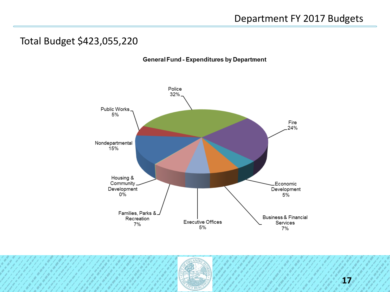# Total Budget \$423,055,220





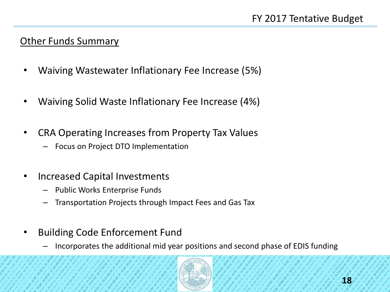### **Other Funds Summary**

- Waiving Wastewater Inflationary Fee Increase (5%)
- Waiving Solid Waste Inflationary Fee Increase (4%)
- CRA Operating Increases from Property Tax Values
	- Focus on Project DTO Implementation
- Increased Capital Investments
	- Public Works Enterprise Funds
	- Transportation Projects through Impact Fees and Gas Tax
- Building Code Enforcement Fund
	- Incorporates the additional mid year positions and second phase of EDIS funding

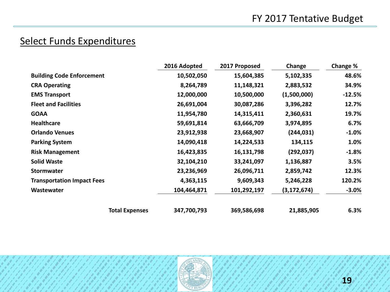# Select Funds Expenditures

|                                   |                       | 2016 Adopted | 2017 Proposed | Change        | Change % |
|-----------------------------------|-----------------------|--------------|---------------|---------------|----------|
| <b>Building Code Enforcement</b>  |                       | 10,502,050   | 15,604,385    | 5,102,335     | 48.6%    |
| <b>CRA Operating</b>              |                       | 8,264,789    | 11,148,321    | 2,883,532     | 34.9%    |
| <b>EMS Transport</b>              |                       | 12,000,000   | 10,500,000    | (1,500,000)   | $-12.5%$ |
| <b>Fleet and Facilities</b>       |                       | 26,691,004   | 30,087,286    | 3,396,282     | 12.7%    |
| <b>GOAA</b>                       |                       | 11,954,780   | 14,315,411    | 2,360,631     | 19.7%    |
| <b>Healthcare</b>                 |                       | 59,691,814   | 63,666,709    | 3,974,895     | 6.7%     |
| <b>Orlando Venues</b>             |                       | 23,912,938   | 23,668,907    | (244,031)     | $-1.0\%$ |
| <b>Parking System</b>             |                       | 14,090,418   | 14,224,533    | 134,115       | 1.0%     |
| <b>Risk Management</b>            |                       | 16,423,835   | 16,131,798    | (292, 037)    | $-1.8%$  |
| <b>Solid Waste</b>                |                       | 32,104,210   | 33,241,097    | 1,136,887     | 3.5%     |
| <b>Stormwater</b>                 |                       | 23,236,969   | 26,096,711    | 2,859,742     | 12.3%    |
| <b>Transportation Impact Fees</b> |                       | 4,363,115    | 9,609,343     | 5,246,228     | 120.2%   |
| Wastewater                        |                       | 104,464,871  | 101,292,197   | (3, 172, 674) | $-3.0%$  |
|                                   | <b>Total Expenses</b> | 347,700,793  | 369,586,698   | 21,885,905    | 6.3%     |

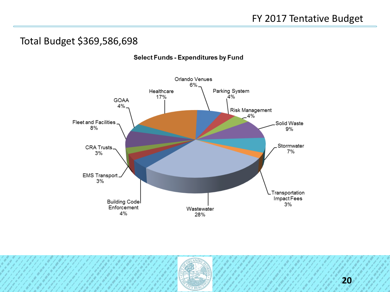# Total Budget \$369,586,698



#### Select Funds - Expenditures by Fund

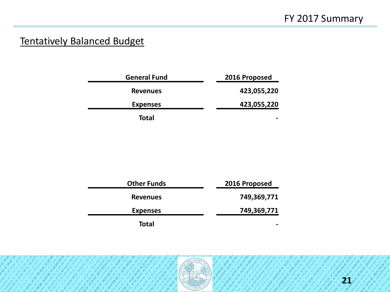# Tentatively Balanced Budget

| <b>General Fund</b> | 2016 Proposed |
|---------------------|---------------|
| <b>Revenues</b>     | 423,055,220   |
| <b>Expenses</b>     | 423,055,220   |
| <b>Total</b>        | -             |

| <b>Other Funds</b> | 2016 Proposed |
|--------------------|---------------|
| <b>Revenues</b>    | 749,369,771   |
| <b>Expenses</b>    | 749,369,771   |
| Total              |               |

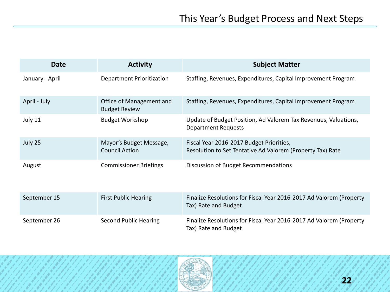| <b>Date</b>     | <b>Activity</b>                                  | <b>Subject Matter</b>                                                                                  |
|-----------------|--------------------------------------------------|--------------------------------------------------------------------------------------------------------|
| January - April | <b>Department Prioritization</b>                 | Staffing, Revenues, Expenditures, Capital Improvement Program                                          |
| April - July    | Office of Management and<br><b>Budget Review</b> | Staffing, Revenues, Expenditures, Capital Improvement Program                                          |
| July 11         | <b>Budget Workshop</b>                           | Update of Budget Position, Ad Valorem Tax Revenues, Valuations,<br><b>Department Requests</b>          |
| July 25         | Mayor's Budget Message,<br><b>Council Action</b> | Fiscal Year 2016-2017 Budget Priorities,<br>Resolution to Set Tentative Ad Valorem (Property Tax) Rate |
| August          | <b>Commissioner Briefings</b>                    | Discussion of Budget Recommendations                                                                   |
| September 15    | <b>First Public Hearing</b>                      | Finalize Resolutions for Fiscal Year 2016-2017 Ad Valorem (Property<br>Tax) Rate and Budget            |
| September 26    | <b>Second Public Hearing</b>                     | Finalize Resolutions for Fiscal Year 2016-2017 Ad Valorem (Property<br>Tax) Rate and Budget            |